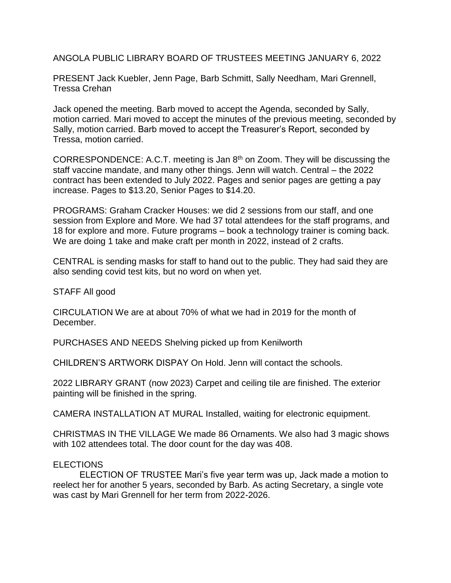ANGOLA PUBLIC LIBRARY BOARD OF TRUSTEES MEETING JANUARY 6, 2022

PRESENT Jack Kuebler, Jenn Page, Barb Schmitt, Sally Needham, Mari Grennell, Tressa Crehan

Jack opened the meeting. Barb moved to accept the Agenda, seconded by Sally, motion carried. Mari moved to accept the minutes of the previous meeting, seconded by Sally, motion carried. Barb moved to accept the Treasurer's Report, seconded by Tressa, motion carried.

CORRESPONDENCE: A.C.T. meeting is Jan 8th on Zoom. They will be discussing the staff vaccine mandate, and many other things. Jenn will watch. Central – the 2022 contract has been extended to July 2022. Pages and senior pages are getting a pay increase. Pages to \$13.20, Senior Pages to \$14.20.

PROGRAMS: Graham Cracker Houses: we did 2 sessions from our staff, and one session from Explore and More. We had 37 total attendees for the staff programs, and 18 for explore and more. Future programs – book a technology trainer is coming back. We are doing 1 take and make craft per month in 2022, instead of 2 crafts.

CENTRAL is sending masks for staff to hand out to the public. They had said they are also sending covid test kits, but no word on when yet.

STAFF All good

CIRCULATION We are at about 70% of what we had in 2019 for the month of December.

PURCHASES AND NEEDS Shelving picked up from Kenilworth

CHILDREN'S ARTWORK DISPAY On Hold. Jenn will contact the schools.

2022 LIBRARY GRANT (now 2023) Carpet and ceiling tile are finished. The exterior painting will be finished in the spring.

CAMERA INSTALLATION AT MURAL Installed, waiting for electronic equipment.

CHRISTMAS IN THE VILLAGE We made 86 Ornaments. We also had 3 magic shows with 102 attendees total. The door count for the day was 408.

## ELECTIONS

ELECTION OF TRUSTEE Mari's five year term was up, Jack made a motion to reelect her for another 5 years, seconded by Barb. As acting Secretary, a single vote was cast by Mari Grennell for her term from 2022-2026.